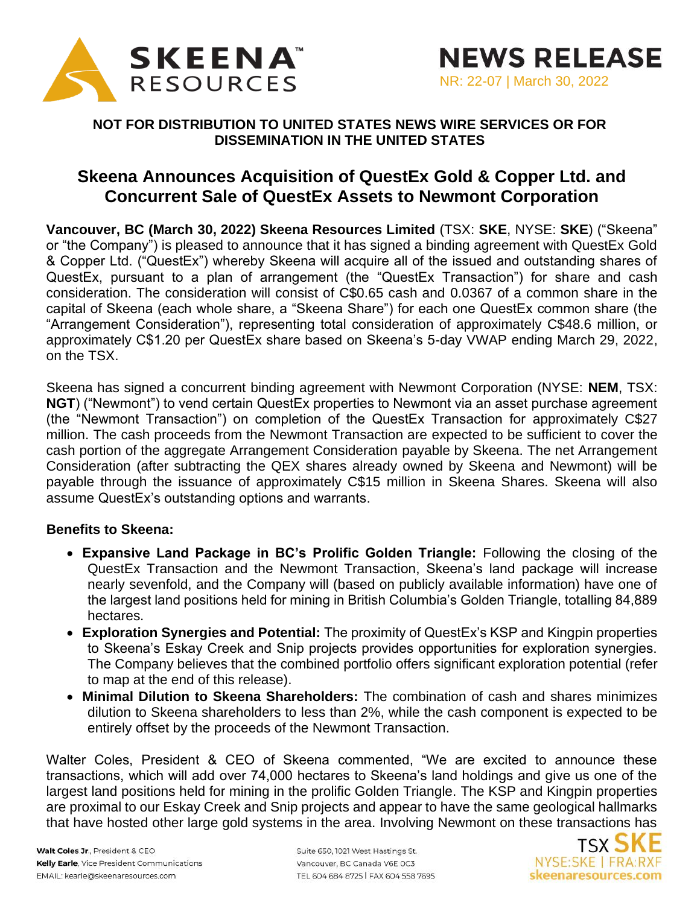

## **NOT FOR DISTRIBUTION TO UNITED STATES NEWS WIRE SERVICES OR FOR DISSEMINATION IN THE UNITED STATES**

# **Skeena Announces Acquisition of QuestEx Gold & Copper Ltd. and Concurrent Sale of QuestEx Assets to Newmont Corporation**

**Vancouver, BC (March 30, 2022) Skeena Resources Limited** (TSX: **SKE**, NYSE: **SKE**) ("Skeena" or "the Company") is pleased to announce that it has signed a binding agreement with QuestEx Gold & Copper Ltd. ("QuestEx") whereby Skeena will acquire all of the issued and outstanding shares of QuestEx, pursuant to a plan of arrangement (the "QuestEx Transaction") for share and cash consideration. The consideration will consist of C\$0.65 cash and 0.0367 of a common share in the capital of Skeena (each whole share, a "Skeena Share") for each one QuestEx common share (the "Arrangement Consideration"), representing total consideration of approximately C\$48.6 million, or approximately C\$1.20 per QuestEx share based on Skeena's 5-day VWAP ending March 29, 2022, on the TSX.

Skeena has signed a concurrent binding agreement with Newmont Corporation (NYSE: **NEM**, TSX: **NGT**) ("Newmont") to vend certain QuestEx properties to Newmont via an asset purchase agreement (the "Newmont Transaction") on completion of the QuestEx Transaction for approximately C\$27 million. The cash proceeds from the Newmont Transaction are expected to be sufficient to cover the cash portion of the aggregate Arrangement Consideration payable by Skeena. The net Arrangement Consideration (after subtracting the QEX shares already owned by Skeena and Newmont) will be payable through the issuance of approximately C\$15 million in Skeena Shares. Skeena will also assume QuestEx's outstanding options and warrants.

### **Benefits to Skeena:**

- **Expansive Land Package in BC's Prolific Golden Triangle:** Following the closing of the QuestEx Transaction and the Newmont Transaction, Skeena's land package will increase nearly sevenfold, and the Company will (based on publicly available information) have one of the largest land positions held for mining in British Columbia's Golden Triangle, totalling 84,889 hectares.
- **Exploration Synergies and Potential:** The proximity of QuestEx's KSP and Kingpin properties to Skeena's Eskay Creek and Snip projects provides opportunities for exploration synergies. The Company believes that the combined portfolio offers significant exploration potential (refer to map at the end of this release).
- **Minimal Dilution to Skeena Shareholders:** The combination of cash and shares minimizes dilution to Skeena shareholders to less than 2%, while the cash component is expected to be entirely offset by the proceeds of the Newmont Transaction.

Walter Coles, President & CEO of Skeena commented, "We are excited to announce these transactions, which will add over 74,000 hectares to Skeena's land holdings and give us one of the largest land positions held for mining in the prolific Golden Triangle. The KSP and Kingpin properties are proximal to our Eskay Creek and Snip projects and appear to have the same geological hallmarks that have hosted other large gold systems in the area. Involving Newmont on these transactions has

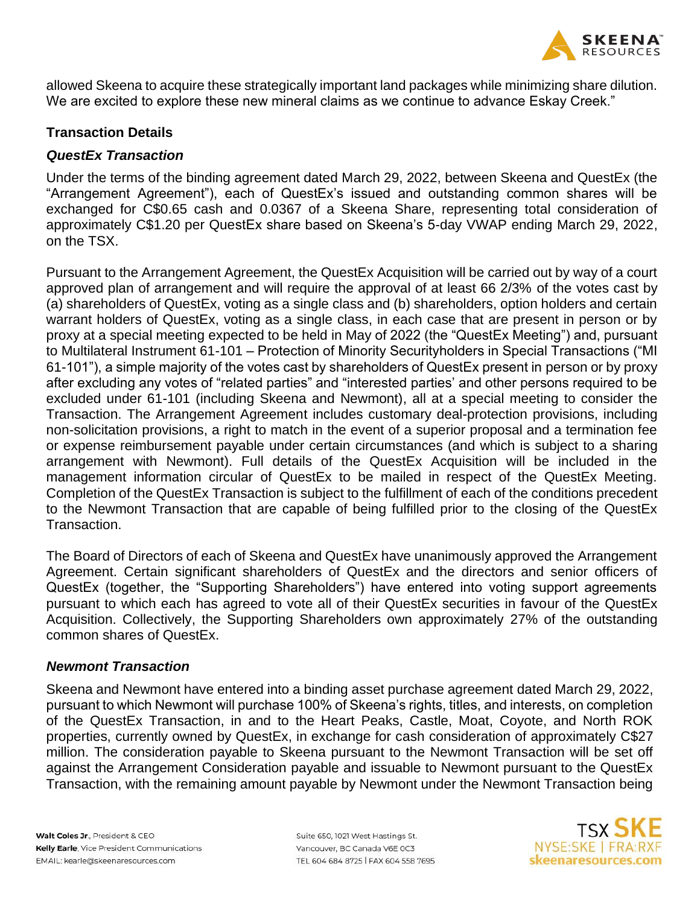

allowed Skeena to acquire these strategically important land packages while minimizing share dilution. We are excited to explore these new mineral claims as we continue to advance Eskay Creek."

## **Transaction Details**

## *QuestEx Transaction*

Under the terms of the binding agreement dated March 29, 2022, between Skeena and QuestEx (the "Arrangement Agreement"), each of QuestEx's issued and outstanding common shares will be exchanged for C\$0.65 cash and 0.0367 of a Skeena Share, representing total consideration of approximately C\$1.20 per QuestEx share based on Skeena's 5-day VWAP ending March 29, 2022, on the TSX.

Pursuant to the Arrangement Agreement, the QuestEx Acquisition will be carried out by way of a court approved plan of arrangement and will require the approval of at least 66 2/3% of the votes cast by (a) shareholders of QuestEx, voting as a single class and (b) shareholders, option holders and certain warrant holders of QuestEx, voting as a single class, in each case that are present in person or by proxy at a special meeting expected to be held in May of 2022 (the "QuestEx Meeting") and, pursuant to Multilateral Instrument 61-101 – Protection of Minority Securityholders in Special Transactions ("MI 61-101"), a simple majority of the votes cast by shareholders of QuestEx present in person or by proxy after excluding any votes of "related parties" and "interested parties' and other persons required to be excluded under 61-101 (including Skeena and Newmont), all at a special meeting to consider the Transaction. The Arrangement Agreement includes customary deal-protection provisions, including non-solicitation provisions, a right to match in the event of a superior proposal and a termination fee or expense reimbursement payable under certain circumstances (and which is subject to a sharing arrangement with Newmont). Full details of the QuestEx Acquisition will be included in the management information circular of QuestEx to be mailed in respect of the QuestEx Meeting. Completion of the QuestEx Transaction is subject to the fulfillment of each of the conditions precedent to the Newmont Transaction that are capable of being fulfilled prior to the closing of the QuestEx Transaction.

The Board of Directors of each of Skeena and QuestEx have unanimously approved the Arrangement Agreement. Certain significant shareholders of QuestEx and the directors and senior officers of QuestEx (together, the "Supporting Shareholders") have entered into voting support agreements pursuant to which each has agreed to vote all of their QuestEx securities in favour of the QuestEx Acquisition. Collectively, the Supporting Shareholders own approximately 27% of the outstanding common shares of QuestEx.

### *Newmont Transaction*

Skeena and Newmont have entered into a binding asset purchase agreement dated March 29, 2022, pursuant to which Newmont will purchase 100% of Skeena's rights, titles, and interests, on completion of the QuestEx Transaction, in and to the Heart Peaks, Castle, Moat, Coyote, and North ROK properties, currently owned by QuestEx, in exchange for cash consideration of approximately C\$27 million. The consideration payable to Skeena pursuant to the Newmont Transaction will be set off against the Arrangement Consideration payable and issuable to Newmont pursuant to the QuestEx Transaction, with the remaining amount payable by Newmont under the Newmont Transaction being

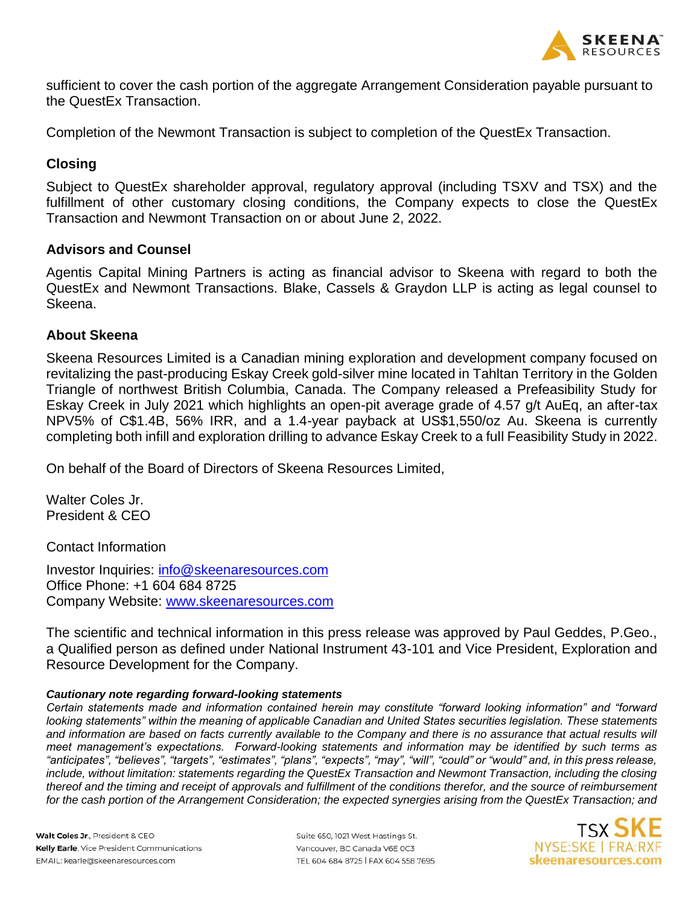

sufficient to cover the cash portion of the aggregate Arrangement Consideration payable pursuant to the QuestEx Transaction.

Completion of the Newmont Transaction is subject to completion of the QuestEx Transaction.

## **Closing**

Subject to QuestEx shareholder approval, regulatory approval (including TSXV and TSX) and the fulfillment of other customary closing conditions, the Company expects to close the QuestEx Transaction and Newmont Transaction on or about June 2, 2022.

### **Advisors and Counsel**

Agentis Capital Mining Partners is acting as financial advisor to Skeena with regard to both the QuestEx and Newmont Transactions. Blake, Cassels & Graydon LLP is acting as legal counsel to Skeena.

## **About Skeena**

Skeena Resources Limited is a Canadian mining exploration and development company focused on revitalizing the past-producing Eskay Creek gold-silver mine located in Tahltan Territory in the Golden Triangle of northwest British Columbia, Canada. The Company released a Prefeasibility Study for Eskay Creek in July 2021 which highlights an open-pit average grade of 4.57 g/t AuEq, an after-tax NPV5% of C\$1.4B, 56% IRR, and a 1.4-year payback at US\$1,550/oz Au. Skeena is currently completing both infill and exploration drilling to advance Eskay Creek to a full Feasibility Study in 2022.

On behalf of the Board of Directors of Skeena Resources Limited,

Walter Coles Jr. President & CEO

Contact Information

Investor Inquiries: [info@skeenaresources.com](mailto:info@skeenaresources.com) Office Phone: +1 604 684 8725 Company Website: [www.skeenaresources.com](http://www.skeenaresources.com/)

The scientific and technical information in this press release was approved by Paul Geddes, P.Geo., a Qualified person as defined under National Instrument 43-101 and Vice President, Exploration and Resource Development for the Company.

#### *Cautionary note regarding forward-looking statements*

*Certain statements made and information contained herein may constitute "forward looking information" and "forward looking statements" within the meaning of applicable Canadian and United States securities legislation. These statements*  and information are based on facts currently available to the Company and there is no assurance that actual results will *meet management's expectations. Forward-looking statements and information may be identified by such terms as "anticipates", "believes", "targets", "estimates", "plans", "expects", "may", "will", "could" or "would" and, in this press release, include, without limitation: statements regarding the QuestEx Transaction and Newmont Transaction, including the closing thereof and the timing and receipt of approvals and fulfillment of the conditions therefor, and the source of reimbursement for the cash portion of the Arrangement Consideration; the expected synergies arising from the QuestEx Transaction; and* 

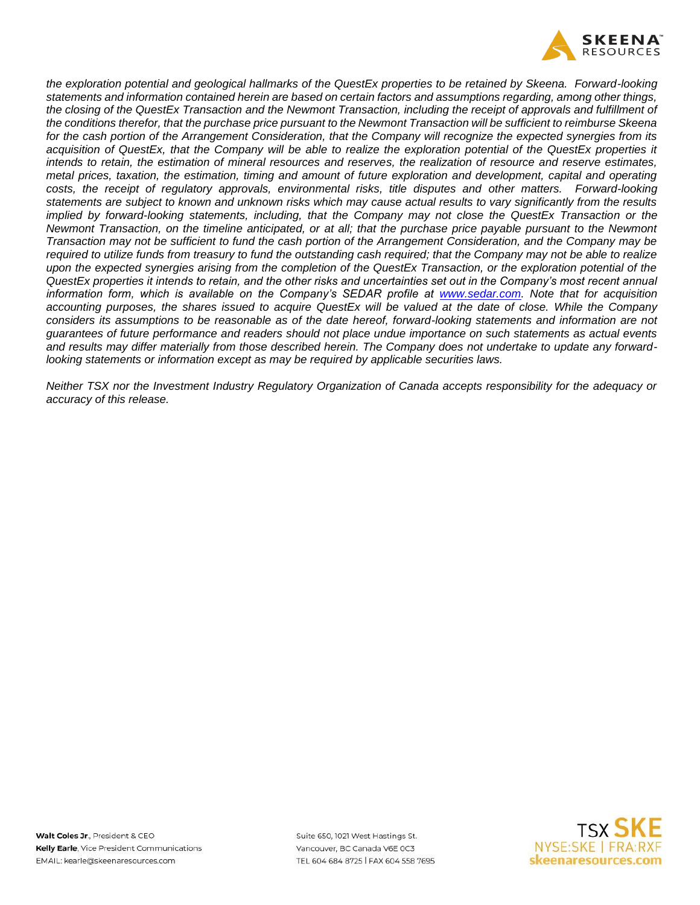

*the exploration potential and geological hallmarks of the QuestEx properties to be retained by Skeena. Forward-looking statements and information contained herein are based on certain factors and assumptions regarding, among other things, the closing of the QuestEx Transaction and the Newmont Transaction, including the receipt of approvals and fulfillment of the conditions therefor, that the purchase price pursuant to the Newmont Transaction will be sufficient to reimburse Skeena for the cash portion of the Arrangement Consideration, that the Company will recognize the expected synergies from its acquisition of QuestEx, that the Company will be able to realize the exploration potential of the QuestEx properties it intends to retain, the estimation of mineral resources and reserves, the realization of resource and reserve estimates, metal prices, taxation, the estimation, timing and amount of future exploration and development, capital and operating costs, the receipt of regulatory approvals, environmental risks, title disputes and other matters. Forward-looking statements are subject to known and unknown risks which may cause actual results to vary significantly from the results implied by forward-looking statements, including, that the Company may not close the QuestEx Transaction or the Newmont Transaction, on the timeline anticipated, or at all; that the purchase price payable pursuant to the Newmont Transaction may not be sufficient to fund the cash portion of the Arrangement Consideration, and the Company may be required to utilize funds from treasury to fund the outstanding cash required; that the Company may not be able to realize upon the expected synergies arising from the completion of the QuestEx Transaction, or the exploration potential of the QuestEx properties it intends to retain, and the other risks and uncertainties set out in the Company's most recent annual information form, which is available on the Company's SEDAR profile at [www.sedar.com.](http://www.sedar.com/) Note that for acquisition accounting purposes, the shares issued to acquire QuestEx will be valued at the date of close. While the Company considers its assumptions to be reasonable as of the date hereof, forward-looking statements and information are not guarantees of future performance and readers should not place undue importance on such statements as actual events and results may differ materially from those described herein. The Company does not undertake to update any forwardlooking statements or information except as may be required by applicable securities laws.* 

*Neither TSX nor the Investment Industry Regulatory Organization of Canada accepts responsibility for the adequacy or accuracy of this release.*